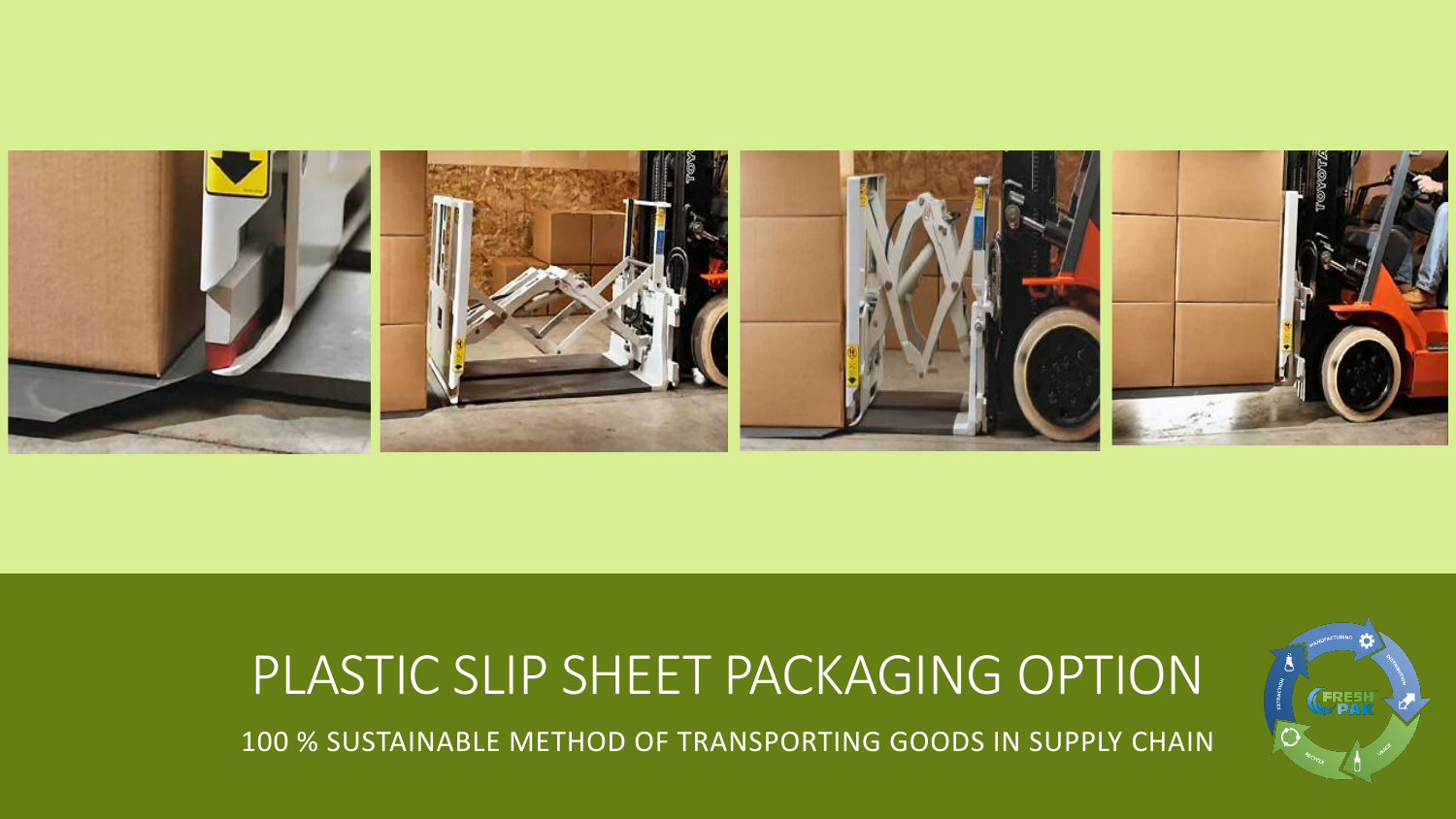

# PLASTIC SLIP SHEET PACKAGING OPTION 100 % SUSTAINABLE METHOD OF TRANSPORTING GOODS IN SUPPLY CHAIN

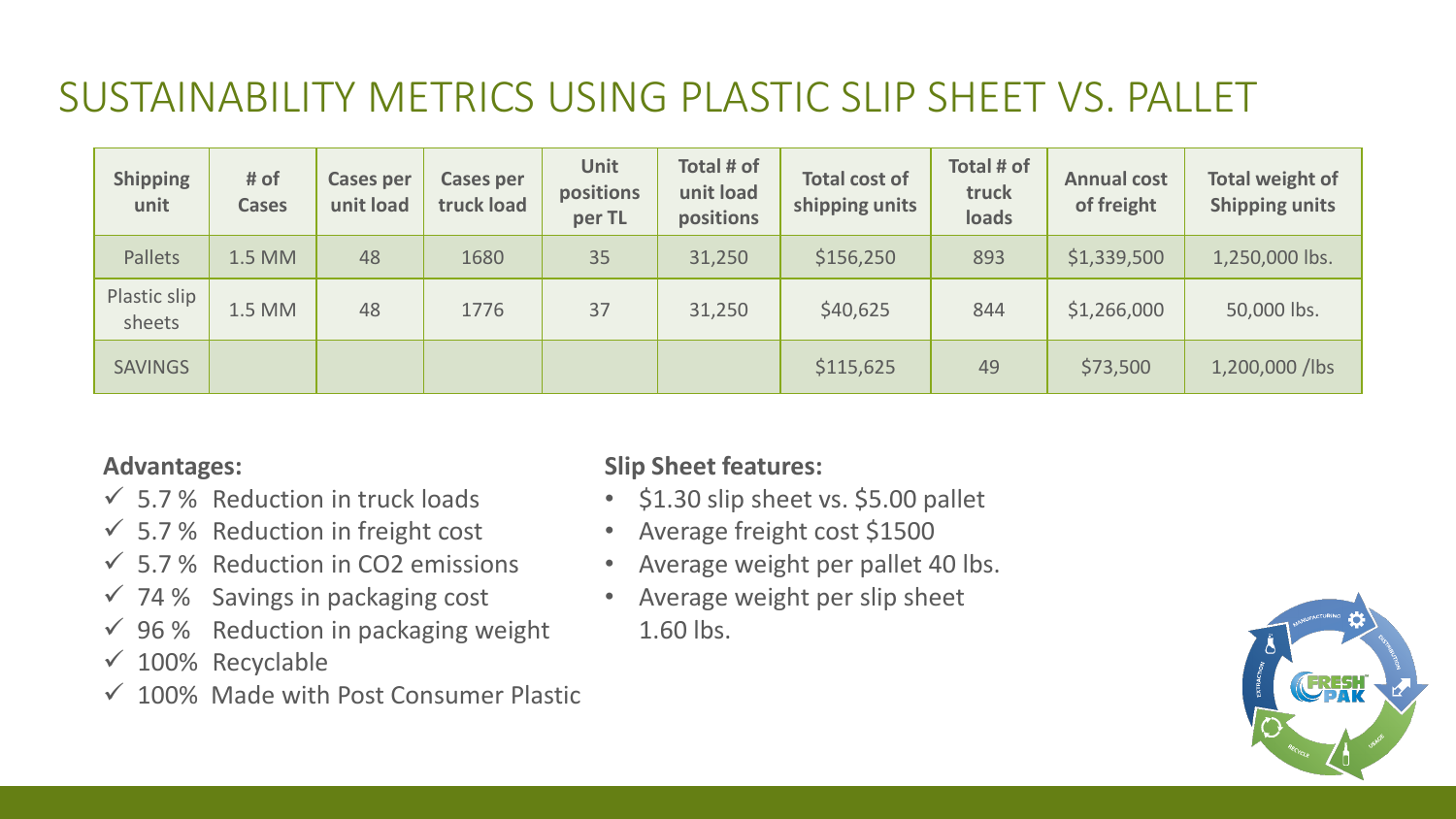### SUSTAINABILITY METRICS USING PLASTIC SLIP SHEET VS. PALLET

| <b>Shipping</b><br>unit | # of<br><b>Cases</b> | <b>Cases per</b><br>unit load | <b>Cases per</b><br>truck load | <b>Unit</b><br>positions<br>per TL | Total # of<br>unit load<br>positions | <b>Total cost of</b><br>shipping units | Total # of<br>truck<br>loads | <b>Annual cost</b><br>of freight | <b>Total weight of</b><br><b>Shipping units</b> |
|-------------------------|----------------------|-------------------------------|--------------------------------|------------------------------------|--------------------------------------|----------------------------------------|------------------------------|----------------------------------|-------------------------------------------------|
| Pallets                 | 1.5 MM               | 48                            | 1680                           | 35                                 | 31,250                               | \$156,250                              | 893                          | \$1,339,500                      | 1,250,000 lbs.                                  |
| Plastic slip<br>sheets  | 1.5 MM               | 48                            | 1776                           | 37                                 | 31,250                               | \$40,625                               | 844                          | \$1,266,000                      | 50,000 lbs.                                     |
| <b>SAVINGS</b>          |                      |                               |                                |                                    |                                      | \$115,625                              | 49                           | \$73,500                         | 1,200,000 /lbs                                  |

### **Advantages:**

- $\checkmark$  5.7% Reduction in truck loads
- $\checkmark$  5.7 % Reduction in freight cost
- $\checkmark$  5.7% Reduction in CO2 emissions
- $\checkmark$  74% Savings in packaging cost
- $\checkmark$  96% Reduction in packaging weight
- $\times$  100% Recyclable
- $\checkmark$  100% Made with Post Consumer Plastic

### **Slip Sheet features:**

- \$1.30 slip sheet vs. \$5.00 pallet
- Average freight cost \$1500
- Average weight per pallet 40 lbs.
- Average weight per slip sheet
	- 1.60 lbs.